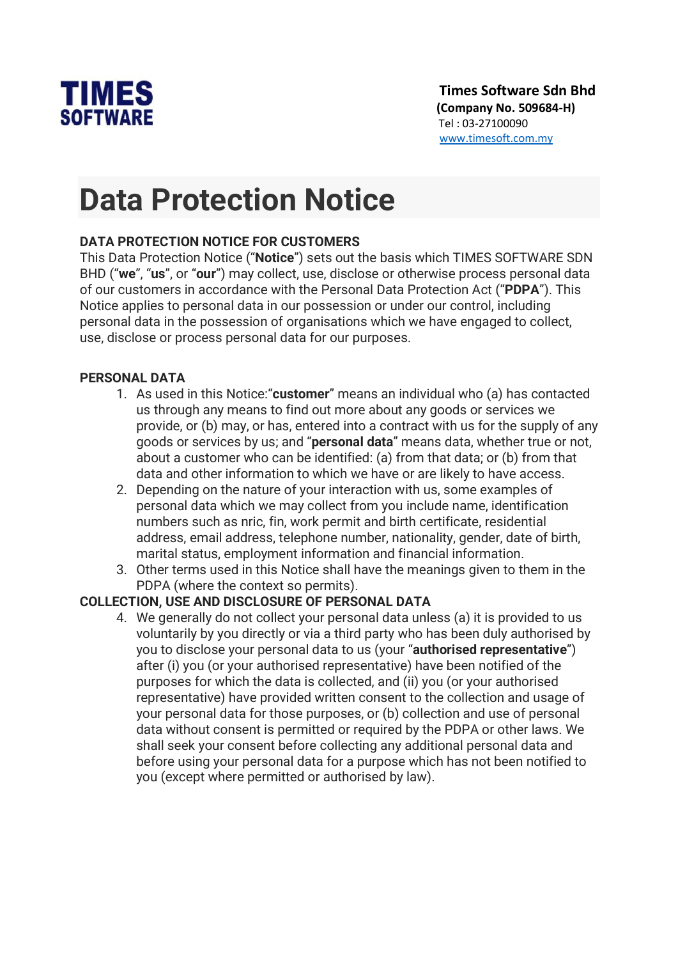

# Data Protection Notice

### DATA PROTECTION NOTICE FOR CUSTOMERS

This Data Protection Notice ("Notice") sets out the basis which TIMES SOFTWARE SDN BHD ("we", "us", or "our") may collect, use, disclose or otherwise process personal data of our customers in accordance with the Personal Data Protection Act ("PDPA"). This Notice applies to personal data in our possession or under our control, including personal data in the possession of organisations which we have engaged to collect, use, disclose or process personal data for our purposes.

#### PERSONAL DATA

- 1. As used in this Notice: "customer" means an individual who (a) has contacted us through any means to find out more about any goods or services we provide, or (b) may, or has, entered into a contract with us for the supply of any goods or services by us; and "personal data" means data, whether true or not, about a customer who can be identified: (a) from that data; or (b) from that data and other information to which we have or are likely to have access.
- 2. Depending on the nature of your interaction with us, some examples of personal data which we may collect from you include name, identification numbers such as nric, fin, work permit and birth certificate, residential address, email address, telephone number, nationality, gender, date of birth, marital status, employment information and financial information.
- 3. Other terms used in this Notice shall have the meanings given to them in the PDPA (where the context so permits).

#### COLLECTION, USE AND DISCLOSURE OF PERSONAL DATA

4. We generally do not collect your personal data unless (a) it is provided to us voluntarily by you directly or via a third party who has been duly authorised by you to disclose your personal data to us (your "authorised representative") after (i) you (or your authorised representative) have been notified of the purposes for which the data is collected, and (ii) you (or your authorised representative) have provided written consent to the collection and usage of your personal data for those purposes, or (b) collection and use of personal data without consent is permitted or required by the PDPA or other laws. We shall seek your consent before collecting any additional personal data and before using your personal data for a purpose which has not been notified to you (except where permitted or authorised by law).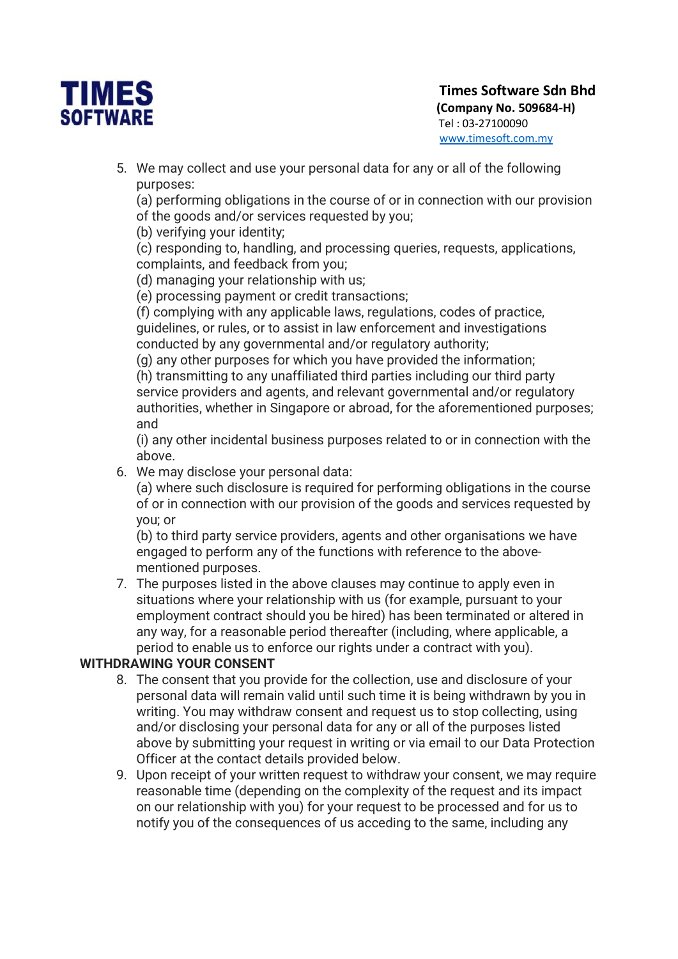

5. We may collect and use your personal data for any or all of the following purposes:

(a) performing obligations in the course of or in connection with our provision of the goods and/or services requested by you;

(b) verifying your identity;

(c) responding to, handling, and processing queries, requests, applications, complaints, and feedback from you;

(d) managing your relationship with us;

(e) processing payment or credit transactions;

(f) complying with any applicable laws, regulations, codes of practice, guidelines, or rules, or to assist in law enforcement and investigations conducted by any governmental and/or regulatory authority;

(g) any other purposes for which you have provided the information;

(h) transmitting to any unaffiliated third parties including our third party service providers and agents, and relevant governmental and/or regulatory authorities, whether in Singapore or abroad, for the aforementioned purposes; and

(i) any other incidental business purposes related to or in connection with the above.

6. We may disclose your personal data:

(a) where such disclosure is required for performing obligations in the course of or in connection with our provision of the goods and services requested by you; or

(b) to third party service providers, agents and other organisations we have engaged to perform any of the functions with reference to the abovementioned purposes.

7. The purposes listed in the above clauses may continue to apply even in situations where your relationship with us (for example, pursuant to your employment contract should you be hired) has been terminated or altered in any way, for a reasonable period thereafter (including, where applicable, a period to enable us to enforce our rights under a contract with you).

#### WITHDRAWING YOUR CONSENT

- 8. The consent that you provide for the collection, use and disclosure of your personal data will remain valid until such time it is being withdrawn by you in writing. You may withdraw consent and request us to stop collecting, using and/or disclosing your personal data for any or all of the purposes listed above by submitting your request in writing or via email to our Data Protection Officer at the contact details provided below.
- 9. Upon receipt of your written request to withdraw your consent, we may require reasonable time (depending on the complexity of the request and its impact on our relationship with you) for your request to be processed and for us to notify you of the consequences of us acceding to the same, including any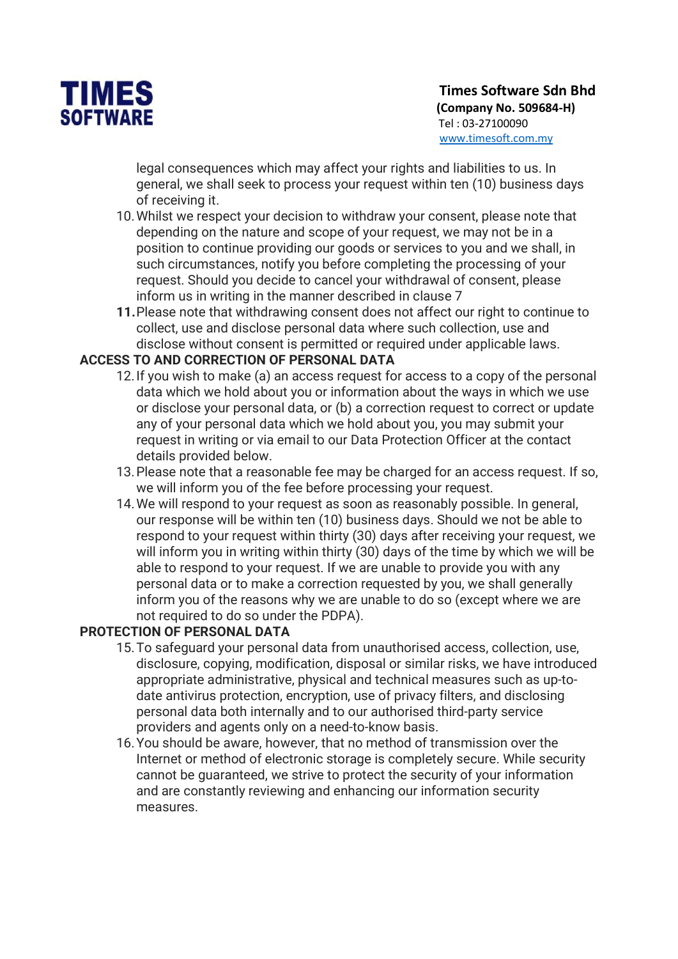

legal consequences which may affect your rights and liabilities to us. In general, we shall seek to process your request within ten (10) business days of receiving it.

- 10.Whilst we respect your decision to withdraw your consent, please note that depending on the nature and scope of your request, we may not be in a position to continue providing our goods or services to you and we shall, in such circumstances, notify you before completing the processing of your request. Should you decide to cancel your withdrawal of consent, please inform us in writing in the manner described in clause 7
- 11.Please note that withdrawing consent does not affect our right to continue to collect, use and disclose personal data where such collection, use and disclose without consent is permitted or required under applicable laws.

#### ACCESS TO AND CORRECTION OF PERSONAL DATA

- 12.If you wish to make (a) an access request for access to a copy of the personal data which we hold about you or information about the ways in which we use or disclose your personal data, or (b) a correction request to correct or update any of your personal data which we hold about you, you may submit your request in writing or via email to our Data Protection Officer at the contact details provided below.
- 13.Please note that a reasonable fee may be charged for an access request. If so, we will inform you of the fee before processing your request.
- 14.We will respond to your request as soon as reasonably possible. In general, our response will be within ten (10) business days. Should we not be able to respond to your request within thirty (30) days after receiving your request, we will inform you in writing within thirty (30) days of the time by which we will be able to respond to your request. If we are unable to provide you with any personal data or to make a correction requested by you, we shall generally inform you of the reasons why we are unable to do so (except where we are not required to do so under the PDPA).

#### PROTECTION OF PERSONAL DATA

- 15.To safeguard your personal data from unauthorised access, collection, use, disclosure, copying, modification, disposal or similar risks, we have introduced appropriate administrative, physical and technical measures such as up-todate antivirus protection, encryption, use of privacy filters, and disclosing personal data both internally and to our authorised third-party service providers and agents only on a need-to-know basis.
- 16.You should be aware, however, that no method of transmission over the Internet or method of electronic storage is completely secure. While security cannot be guaranteed, we strive to protect the security of your information and are constantly reviewing and enhancing our information security measures.